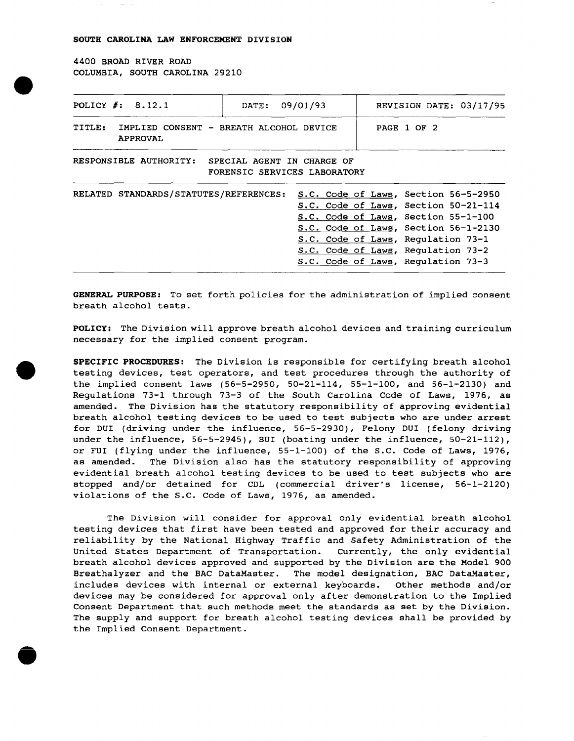## SOUTH CAROLINA LAW ENFORCEMENT DIVISION

4400 BROAD RIVER ROAD COLUMBIA, SOUTH CAROLINA 29210

•

•

•

| POLICY #: 8.12.1                                                                     | DATE: | 09/01/93                                                                                                                                                                                                                                                                      |             | REVISION DATE: 03/17/95 |
|--------------------------------------------------------------------------------------|-------|-------------------------------------------------------------------------------------------------------------------------------------------------------------------------------------------------------------------------------------------------------------------------------|-------------|-------------------------|
| TITLE:<br>IMPLIED CONSENT - BREATH ALCOHOL DEVICE<br><b>APPROVAL</b>                 |       |                                                                                                                                                                                                                                                                               | PAGE 1 OF 2 |                         |
| RESPONSIBLE AUTHORITY:<br>SPECIAL AGENT IN CHARGE OF<br>FORENSIC SERVICES LABORATORY |       |                                                                                                                                                                                                                                                                               |             |                         |
| RELATED STANDARDS/STATUTES/REFERENCES:                                               |       | S.C. Code of Laws, Section 56-5-2950<br>S.C. Code of Laws, Section 50-21-114<br>S.C. Code of Laws, Section 55-1-100<br>S.C. Code of Laws, Section 56-1-2130<br>S.C. Code of Laws, Requiation 73-1<br>S.C. Code of Laws, Regulation 73-2<br>S.C. Code of Laws, Regulation 73-3 |             |                         |

GENERAL PURPOSE: To set forth policies for the administration of implied consent breath alcohol tests.

POLICY: The Division will approve breath alcohol devices and training curriculum necessary for the implied consent program.

SPECIFIC PROCEDURES: The Division is responsible for certifying breath alcohol testing devices, test operators, and test procedures through the authority of the implied consent laws (56-5-2950, 50-21-114, 55-1-100, and 56-1-2130) and Regulations 73-1 through 73-3 of the South Carolina Code of Laws, 1976, as amended. The Division has the statutory responsibility of approving evidential breath alcohol testing devices to be used to test subjects who are under arrest for DUI (driving under the influence, 56-5-2930), Felony DUI (felony driving under the influence, 56-5-2945), BUI (boating under the influence, 50-21-112), or FUI (flying under the influence, 55-1-100) of the S.C. Code of Laws, 1976, as amended. The Division also has the statutory responsibility of approving evidential breath alcohol testing devices to be used to test subjects who are stopped and/or detained for COL (commercial driver's license, 56-1-2120) violations of the S.C. Code of Laws, 1976, as amended.

The Division will consider for approval only evidential breath alcohol testing devices that first have been tested and approved for their accuracy and reliability by the National Highway Traffic and Safety Administration of the United States Department of Transportation. Currently, the only evidential breath alcohol devices approved and supported by the Division are the Model 900 Breathalyzer and the BAC DataMaster. The model designation, BAC DataMaster, includes devices with internal or external keyboards. Other methods and/or devices may be considered for approval only after demonstration to the Implied Consent Department that such methods meet the standards as set by the Division. The supply and support for breath alcohol testing devices shall be provided by the Implied Consent Department .